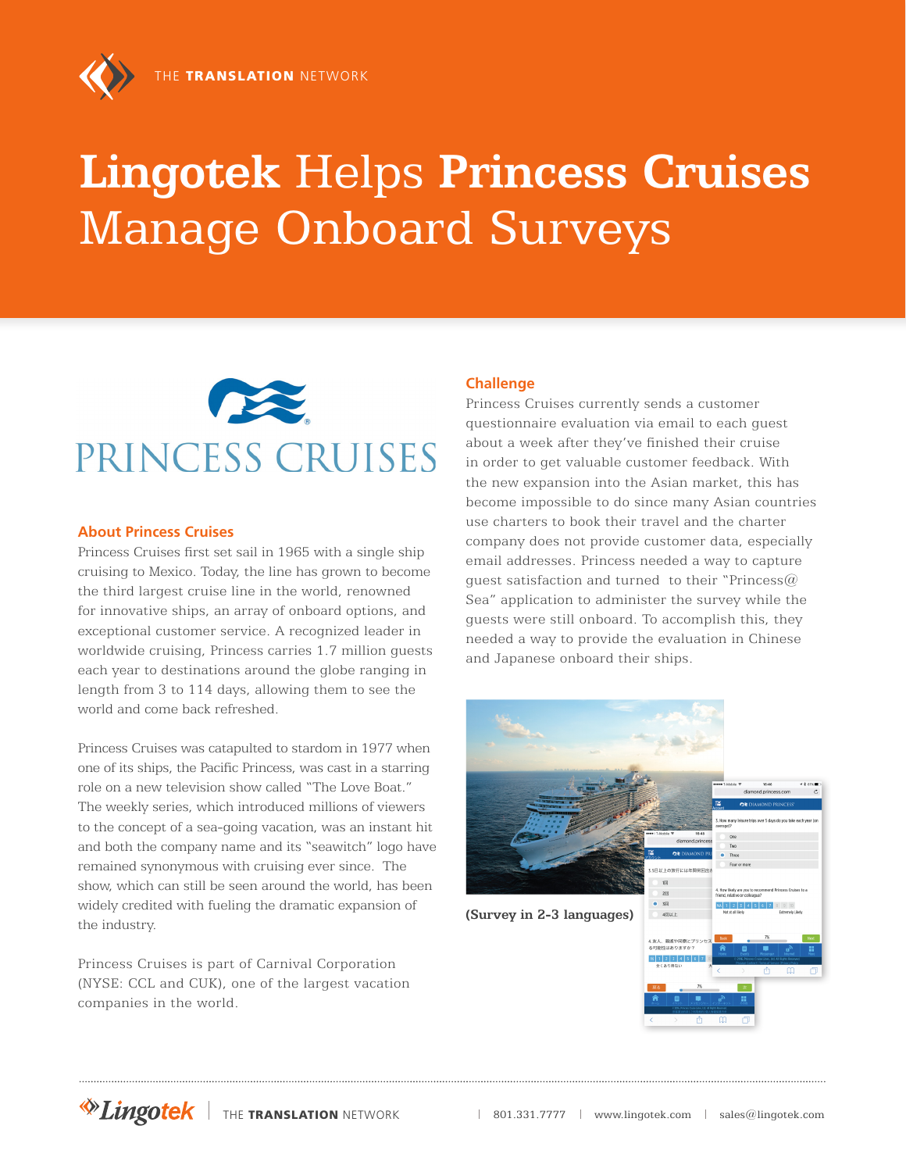# **Lingotek** Helps **Princess Cruises** Manage Onboard Surveys



#### **About Princess Cruises**

Princess Cruises first set sail in 1965 with a single ship cruising to Mexico. Today, the line has grown to become the third largest cruise line in the world, renowned for innovative ships, an array of onboard options, and exceptional customer service. A recognized leader in worldwide cruising, Princess carries 1.7 million guests each year to destinations around the globe ranging in length from 3 to 114 days, allowing them to see the world and come back refreshed.

Princess Cruises was catapulted to stardom in 1977 when one of its ships, the Pacific Princess, was cast in a starring role on a new television show called "The Love Boat." The weekly series, which introduced millions of viewers to the concept of a sea-going vacation, was an instant hit and both the company name and its "seawitch" logo have remained synonymous with cruising ever since. The show, which can still be seen around the world, has been widely credited with fueling the dramatic expansion of the industry.

Princess Cruises is part of Carnival Corporation (NYSE: CCL and CUK), one of the largest vacation companies in the world.

### **Challenge**

Princess Cruises currently sends a customer questionnaire evaluation via email to each guest about a week after they've finished their cruise in order to get valuable customer feedback. With the new expansion into the Asian market, this has become impossible to do since many Asian countries use charters to book their travel and the charter company does not provide customer data, especially email addresses. Princess needed a way to capture guest satisfaction and turned to their "Princess $\omega$ Sea" application to administer the survey while the guests were still onboard. To accomplish this, they needed a way to provide the evaluation in Chinese and Japanese onboard their ships.